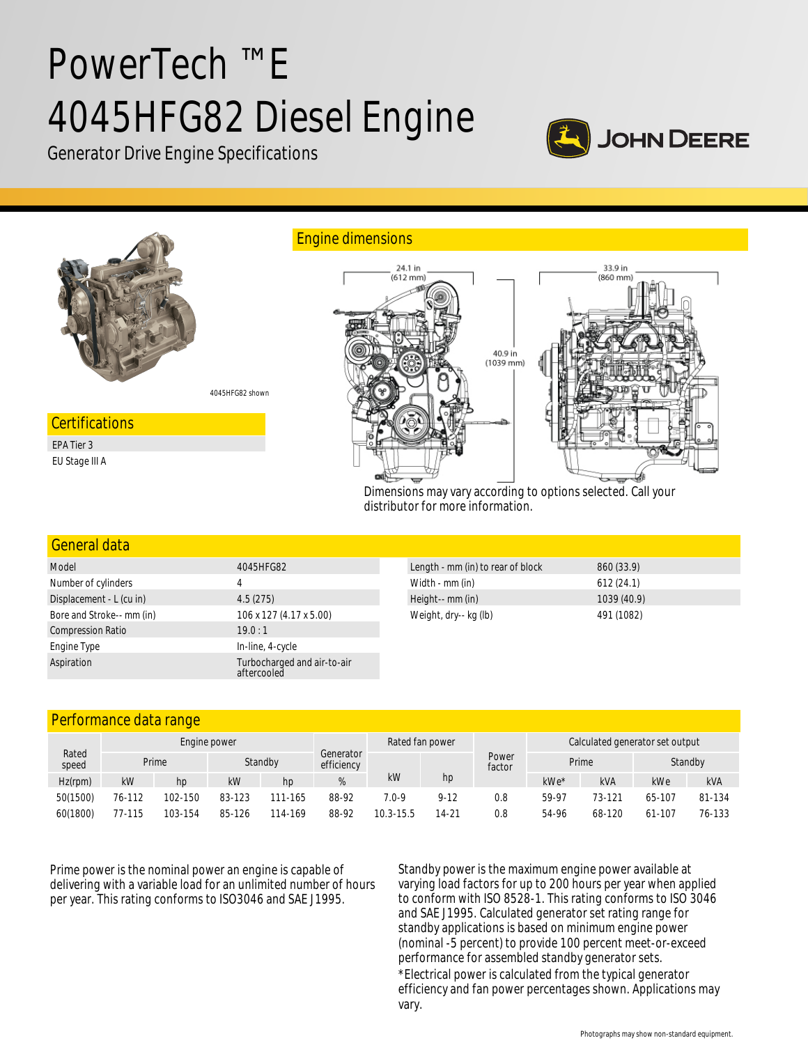# PowerTech ™ E 4045HFG82 Diesel Engine







| General data              |                                            |                                   |             |  |
|---------------------------|--------------------------------------------|-----------------------------------|-------------|--|
| Model                     | 4045HFG82                                  | Length - mm (in) to rear of block | 860 (33.9)  |  |
| Number of cylinders       | 4                                          | Width - mm (in)                   | 612(24.1)   |  |
| Displacement - L (cu in)  | 4.5(275)                                   | Height-- mm (in)                  | 1039 (40.9) |  |
| Bore and Stroke-- mm (in) | 106 x 127 (4.17 x 5.00)                    | Weight, dry-- kg (lb)             | 491 (1082)  |  |
| <b>Compression Ratio</b>  | 19.0:1                                     |                                   |             |  |
| Engine Type               | In-line, 4-cycle                           |                                   |             |  |
| Aspiration                | Turbocharged and air-to-air<br>aftercooled |                                   |             |  |

# Performance data range

| Rated<br>speed | Engine power |         |         |         | Rated fan power         |           |           | Calculated generator set output |       |            |         |        |
|----------------|--------------|---------|---------|---------|-------------------------|-----------|-----------|---------------------------------|-------|------------|---------|--------|
|                |              | Prime   | Standby |         | Generator<br>efficiency |           |           | Power<br>factor                 | Prime |            | Standby |        |
| $Hz$ (rpm)     | kW           | hp      | kW      | hp      | %                       | kW        | hp        |                                 | kWe*  | <b>kVA</b> | kWe     | kVA    |
| 50(1500)       | 76-112       | 102-150 | 83-123  | 111-165 | 88-92                   | 7.0-9     | $9 - 12$  | 0.8                             | 59-97 | 73-121     | 65-107  | 81-134 |
| 60(1800)       | 77-115       | 103-154 | 85-126  | 114-169 | 88-92                   | 10.3-15.5 | $14 - 21$ | 0.8                             | 54-96 | 68-120     | 61-107  | 76-133 |

Prime power is the nominal power an engine is capable of delivering with a variable load for an unlimited number of hours per year. This rating conforms to ISO3046 and SAE J1995.

Standby power is the maximum engine power available at varying load factors for up to 200 hours per year when applied to conform with ISO 8528-1. This rating conforms to ISO 3046 and SAE J1995. Calculated generator set rating range for standby applications is based on minimum engine power (nominal -5 percent) to provide 100 percent meet-or-exceed performance for assembled standby generator sets.

\*Electrical power is calculated from the typical generator efficiency and fan power percentages shown. Applications may vary.